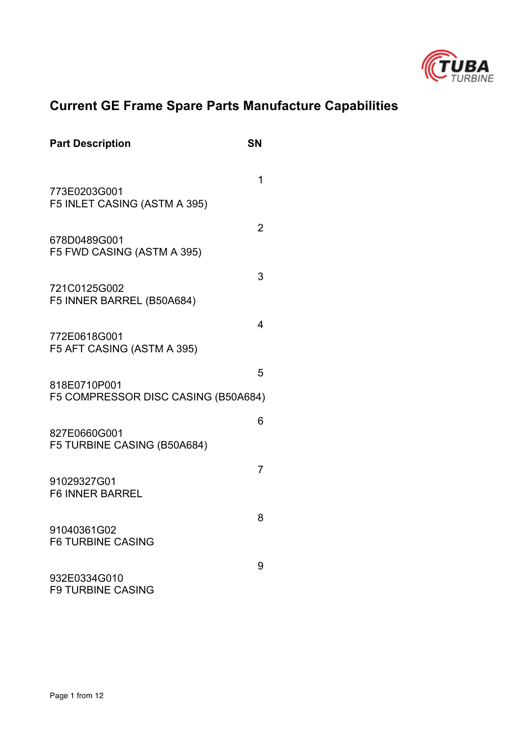

# **Current GE Frame Spare Parts Manufacture Capabilities**

| <b>Part Description</b>                             | SN |
|-----------------------------------------------------|----|
|                                                     | 1  |
| 773E0203G001<br>F5 INLET CASING (ASTM A 395)        |    |
| 678D0489G001<br>F5 FWD CASING (ASTM A 395)          | 2  |
| 721C0125G002<br>F5 INNER BARREL (B50A684)           | 3  |
| 772E0618G001<br>F5 AFT CASING (ASTM A 395)          | 4  |
| 818E0710P001<br>F5 COMPRESSOR DISC CASING (B50A684) | 5  |
| 827E0660G001<br>F5 TURBINE CASING (B50A684)         | 6  |
| 91029327G01<br><b>F6 INNER BARREL</b>               | 7  |
| 91040361G02<br><b>F6 TURBINE CASING</b>             | 8  |
| 932E0334G010<br><b>F9 TURBINE CASING</b>            | 9  |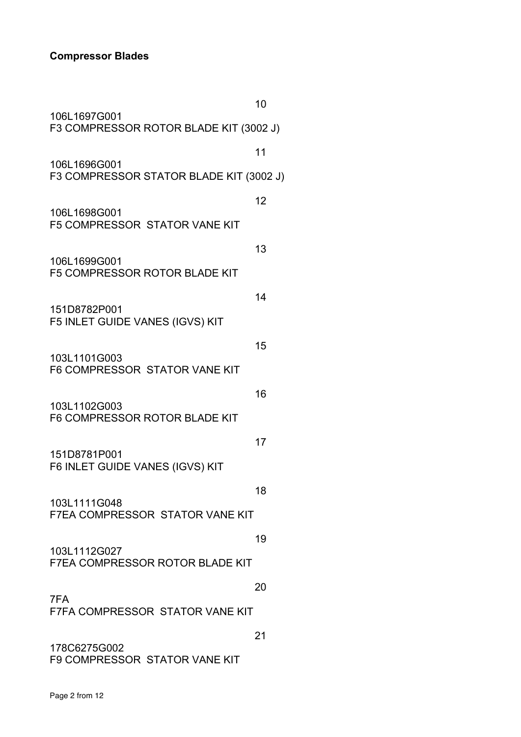### **Compressor Blades**

|                                                        | 10 |
|--------------------------------------------------------|----|
| 106L1697G001<br>F3 COMPRESSOR ROTOR BLADE KIT (3002 J) |    |
| 106L1696G001                                           | 11 |
| F3 COMPRESSOR STATOR BLADE KIT (3002 J)                |    |
| 106L1698G001<br><b>F5 COMPRESSOR STATOR VANE KIT</b>   | 12 |
| 106L1699G001<br>F5 COMPRESSOR ROTOR BLADE KIT          | 13 |
| 151D8782P001<br>F5 INLET GUIDE VANES (IGVS) KIT        | 14 |
|                                                        | 15 |
| 103L1101G003<br>F6 COMPRESSOR STATOR VANE KIT          |    |
| 103L1102G003<br>F6 COMPRESSOR ROTOR BLADE KIT          | 16 |
| 151D8781P001<br>F6 INLET GUIDE VANES (IGVS) KIT        | 17 |
| 103L1111G048<br><b>F7EA COMPRESSOR STATOR VANE KIT</b> | 18 |
| 103L1112G027<br><b>F7EA COMPRESSOR ROTOR BLADE KIT</b> | 19 |
|                                                        | 20 |
| 7FA<br>F7FA COMPRESSOR STATOR VANE KIT                 |    |
| 178C6275G002<br>F9 COMPRESSOR STATOR VANE KIT          | 21 |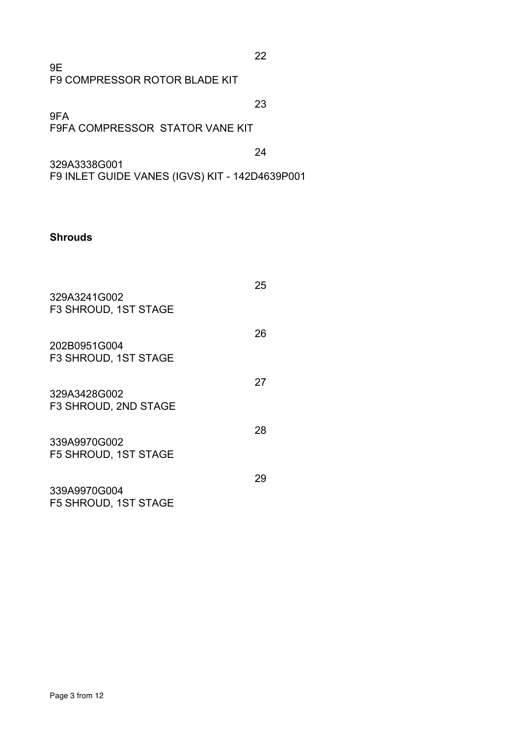| 9F                            |
|-------------------------------|
| F9 COMPRESSOR ROTOR BLADE KIT |

23 9FA F9FA COMPRESSOR STATOR VANE KIT

24

22

329A3338G001 F9 INLET GUIDE VANES (IGVS) KIT - 142D4639P001

#### **Shrouds**

| 329A3241G002<br><b>F3 SHROUD, 1ST STAGE</b> | 25 |
|---------------------------------------------|----|
| 202B0951G004<br>F3 SHROUD, 1ST STAGE        | 26 |
| 329A3428G002<br>F3 SHROUD, 2ND STAGE        | 27 |
| 339A9970G002<br><b>F5 SHROUD, 1ST STAGE</b> | 28 |
| 339A9970G004<br><b>F5 SHROUD, 1ST STAGE</b> | 29 |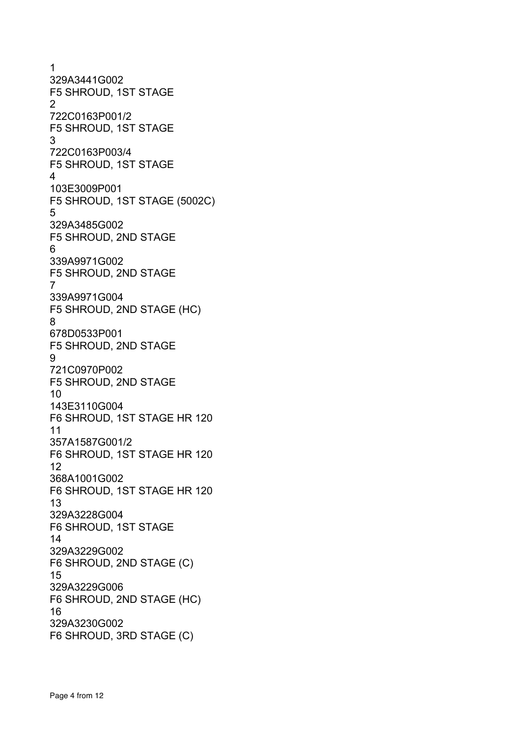1 329A3441G002 F5 SHROUD, 1ST STAGE 2 722C0163P001/2 F5 SHROUD, 1ST STAGE 3 722C0163P003/4 F5 SHROUD, 1ST STAGE 4 103E3009P001 F5 SHROUD, 1ST STAGE (5002C) 5 329A3485G002 F5 SHROUD, 2ND STAGE 6 339A9971G002 F5 SHROUD, 2ND STAGE 7 339A9971G004 F5 SHROUD, 2ND STAGE (HC) 8 678D0533P001 F5 SHROUD, 2ND STAGE 9 721C0970P002 F5 SHROUD, 2ND STAGE 10 143E3110G004 F6 SHROUD, 1ST STAGE HR 120 11 357A1587G001/2 F6 SHROUD, 1ST STAGE HR 120 12 368A1001G002 F6 SHROUD, 1ST STAGE HR 120 13 329A3228G004 F6 SHROUD, 1ST STAGE 14 329A3229G002 F6 SHROUD, 2ND STAGE (C) 15 329A3229G006 F6 SHROUD, 2ND STAGE (HC) 16 329A3230G002 F6 SHROUD, 3RD STAGE (C)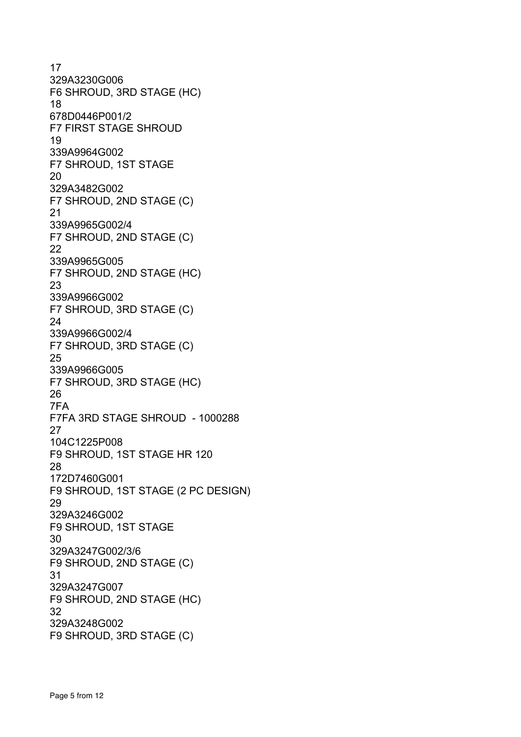17 329A3230G006 F6 SHROUD, 3RD STAGE (HC) 18 678D0446P001/2 F7 FIRST STAGE SHROUD 19 339A9964G002 F7 SHROUD, 1ST STAGE 20 329A3482G002 F7 SHROUD, 2ND STAGE (C) 21 339A9965G002/4 F7 SHROUD, 2ND STAGE (C) 22 339A9965G005 F7 SHROUD, 2ND STAGE (HC) 23 339A9966G002 F7 SHROUD, 3RD STAGE (C) 24 339A9966G002/4 F7 SHROUD, 3RD STAGE (C) 25 339A9966G005 F7 SHROUD, 3RD STAGE (HC) 26 7FA F7FA 3RD STAGE SHROUD - 1000288 27 104C1225P008 F9 SHROUD, 1ST STAGE HR 120 28 172D7460G001 F9 SHROUD, 1ST STAGE (2 PC DESIGN) 29 329A3246G002 F9 SHROUD, 1ST STAGE 30 329A3247G002/3/6 F9 SHROUD, 2ND STAGE (C) 31 329A3247G007 F9 SHROUD, 2ND STAGE (HC) 32 329A3248G002 F9 SHROUD, 3RD STAGE (C)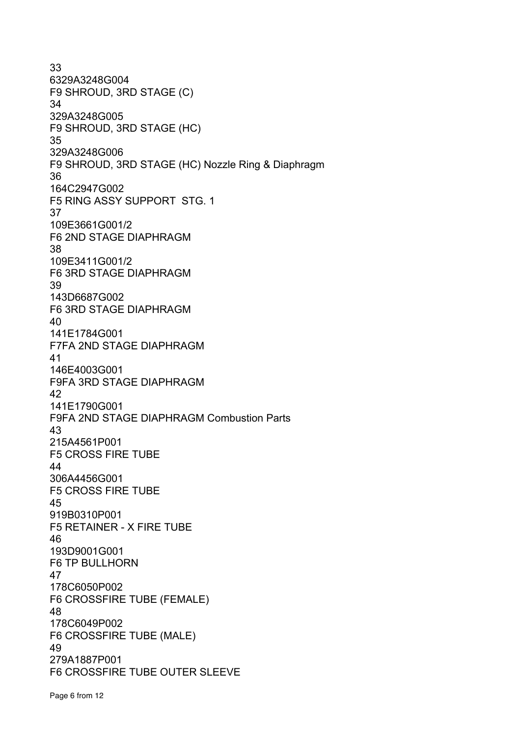33 6329A3248G004 F9 SHROUD, 3RD STAGE (C) 34 329A3248G005 F9 SHROUD, 3RD STAGE (HC) 35 329A3248G006 F9 SHROUD, 3RD STAGE (HC) Nozzle Ring & Diaphragm 36 164C2947G002 F5 RING ASSY SUPPORT STG. 1 37 109E3661G001/2 F6 2ND STAGE DIAPHRAGM 38 109E3411G001/2 F6 3RD STAGE DIAPHRAGM 39 143D6687G002 F6 3RD STAGE DIAPHRAGM 40 141E1784G001 F7FA 2ND STAGE DIAPHRAGM 41 146E4003G001 F9FA 3RD STAGE DIAPHRAGM 42 141E1790G001 F9FA 2ND STAGE DIAPHRAGM Combustion Parts 43 215A4561P001 F5 CROSS FIRE TUBE 44 306A4456G001 F5 CROSS FIRE TUBE 45 919B0310P001 F5 RETAINER - X FIRE TUBE 46 193D9001G001 F6 TP BULLHORN 47 178C6050P002 F6 CROSSFIRE TUBE (FEMALE) 48 178C6049P002 F6 CROSSFIRE TUBE (MALE) 49 279A1887P001 F6 CROSSFIRE TUBE OUTER SLEEVE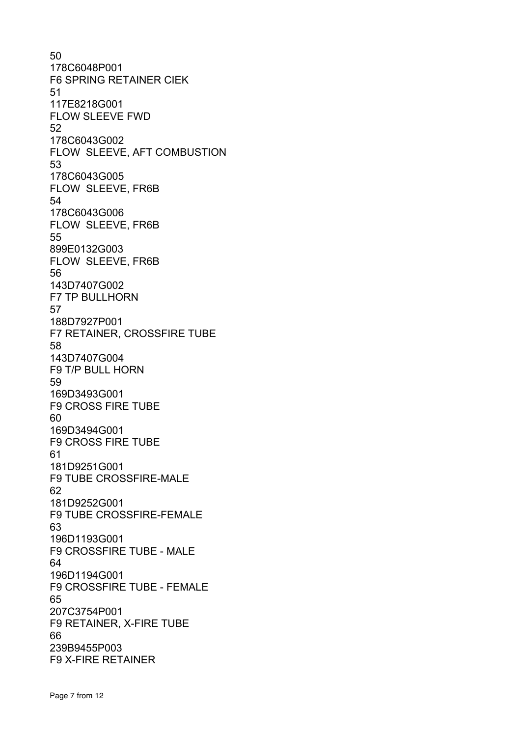50 178C6048P001 F6 SPRING RETAINER CIEK 51 117E8218G001 FLOW SLEEVE FWD 52 178C6043G002 FLOW SLEEVE, AFT COMBUSTION 53 178C6043G005 FLOW SLEEVE, FR6B 54 178C6043G006 FLOW SLEEVE, FR6B 55 899E0132G003 FLOW SLEEVE, FR6B 56 143D7407G002 F7 TP BULLHORN 57 188D7927P001 F7 RETAINER, CROSSFIRE TUBE 58 143D7407G004 F9 T/P BULL HORN 59 169D3493G001 F9 CROSS FIRE TUBE 60 169D3494G001 F9 CROSS FIRE TUBE 61 181D9251G001 F9 TUBE CROSSFIRE-MALE 62 181D9252G001 F9 TUBE CROSSFIRE-FEMALE 63 196D1193G001 F9 CROSSFIRE TUBE - MALE 64 196D1194G001 F9 CROSSFIRE TUBE - FEMALE 65 207C3754P001 F9 RETAINER, X-FIRE TUBE 66 239B9455P003 F9 X-FIRE RETAINER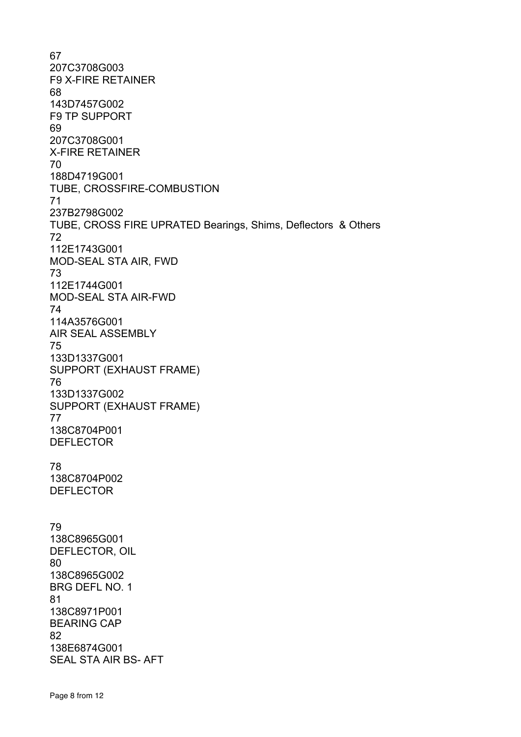67 207C3708G003 F9 X-FIRE RETAINER 68 143D7457G002 F9 TP SUPPORT 69 207C3708G001 X-FIRE RETAINER 70 188D4719G001 TUBE, CROSSFIRE-COMBUSTION 71 237B2798G002 TUBE, CROSS FIRE UPRATED Bearings, Shims, Deflectors & Others 72 112E1743G001 MOD-SEAL STA AIR, FWD 73 112E1744G001 MOD-SEAL STA AIR-FWD 74 114A3576G001 AIR SEAL ASSEMBLY 75 133D1337G001 SUPPORT (EXHAUST FRAME) 76 133D1337G002 SUPPORT (EXHAUST FRAME) 77 138C8704P001 DEFLECTOR 78 138C8704P002 DEFLECTOR 79 138C8965G001 DEFLECTOR, OIL 80 138C8965G002 BRG DEFL NO. 1 81 138C8971P001 BEARING CAP 82 138E6874G001 SEAL STA AIR BS- AFT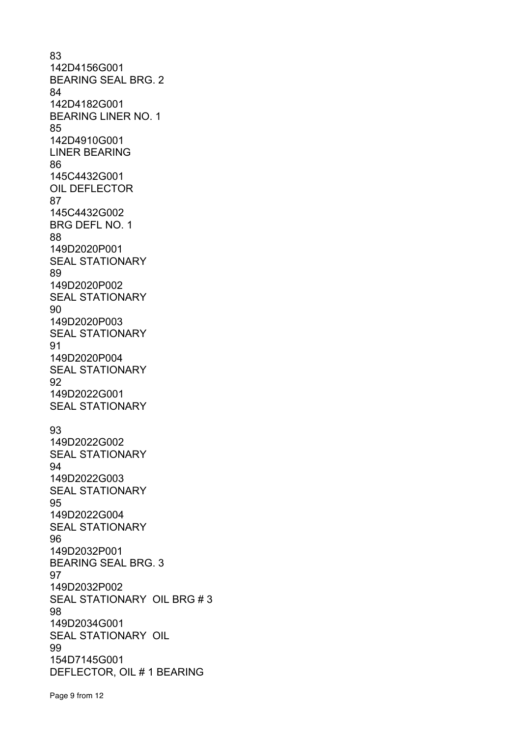83 142D4156G001 BEARING SEAL BRG. 2 84 142D4182G001 BEARING LINER NO. 1 85 142D4910G001 LINER BEARING 86 145C4432G001 OIL DEFLECTOR 87 145C4432G002 BRG DEFL NO. 1 88 149D2020P001 SEAL STATIONARY 89 149D2020P002 SEAL STATIONARY 90 149D2020P003 SEAL STATIONARY 91 149D2020P004 SEAL STATIONARY 92 149D2022G001 SEAL STATIONARY 93 149D2022G002 SEAL STATIONARY 94 149D2022G003 SEAL STATIONARY 95 149D2022G004 SEAL STATIONARY 96 149D2032P001 BEARING SEAL BRG. 3 97 149D2032P002 SEAL STATIONARY OIL BRG # 3 98 149D2034G001 SEAL STATIONARY OIL 99 154D7145G001 DEFLECTOR, OIL # 1 BEARING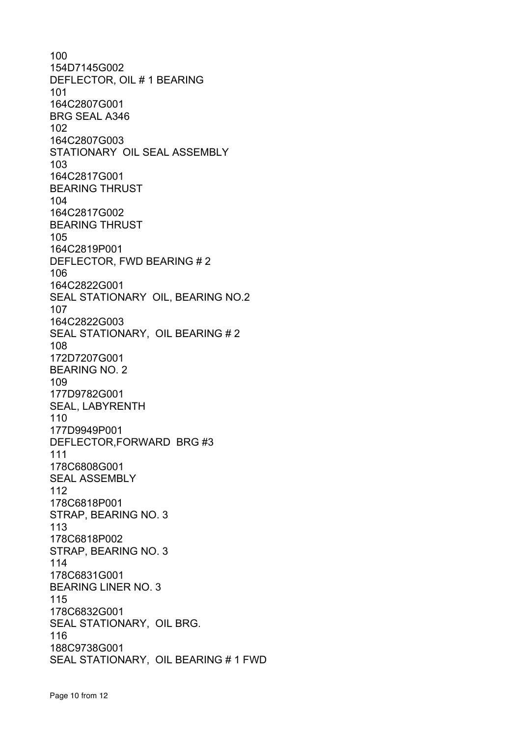100 154D7145G002 DEFLECTOR, OIL # 1 BEARING 101 164C2807G001 BRG SEAL A346 102 164C2807G003 STATIONARY OIL SEAL ASSEMBLY 103 164C2817G001 BEARING THRUST 104 164C2817G002 BEARING THRUST 105 164C2819P001 DEFLECTOR, FWD BEARING # 2 106 164C2822G001 SEAL STATIONARY OIL, BEARING NO.2 107 164C2822G003 SEAL STATIONARY, OIL BEARING # 2 108 172D7207G001 BEARING NO. 2 109 177D9782G001 SEAL, LABYRENTH 110 177D9949P001 DEFLECTOR,FORWARD BRG #3 111 178C6808G001 SEAL ASSEMBLY 112 178C6818P001 STRAP, BEARING NO. 3 113 178C6818P002 STRAP, BEARING NO. 3 114 178C6831G001 BEARING LINER NO. 3 115 178C6832G001 SEAL STATIONARY, OIL BRG. 116 188C9738G001 SEAL STATIONARY, OIL BEARING # 1 FWD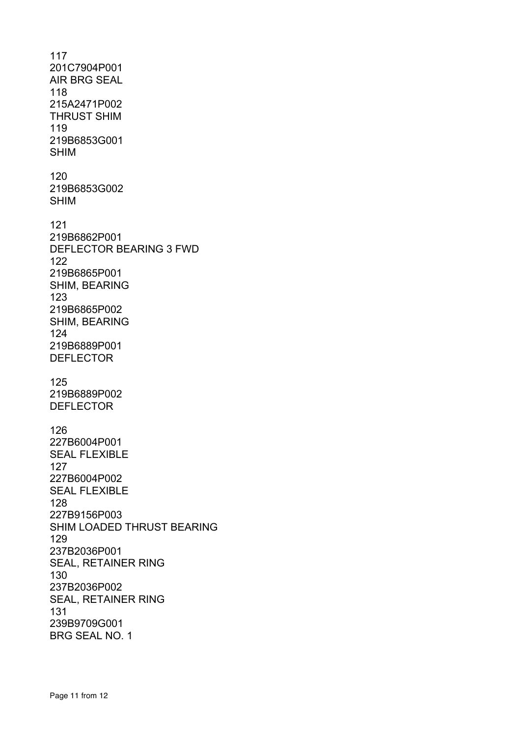117 201C7904P001 AIR BRG SEAL 118 215A2471P002 THRUST SHIM 119 219B6853G001 SHIM 120 219B6853G002 SHIM 121 219B6862P001 DEFLECTOR BEARING 3 FWD 122 219B6865P001 SHIM, BEARING 123 219B6865P002 SHIM, BEARING 124 219B6889P001 DEFLECTOR 125 219B6889P002 DEFLECTOR 126 227B6004P001 SEAL FLEXIBLE 127 227B6004P002 SEAL FLEXIBLE 128 227B9156P003 SHIM LOADED THRUST BEARING 129 237B2036P001 SEAL, RETAINER RING 130 237B2036P002 SEAL, RETAINER RING 131 239B9709G001 BRG SEAL NO. 1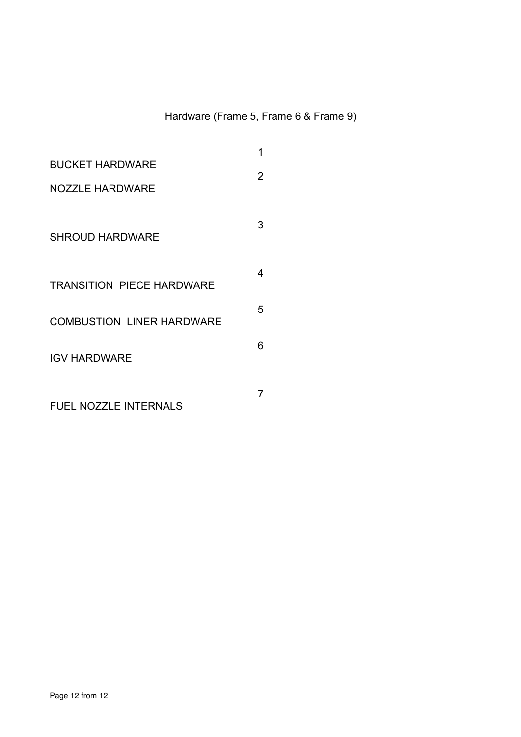## Hardware (Frame 5, Frame 6 & Frame 9)

|                                  | 1 |
|----------------------------------|---|
| <b>BUCKET HARDWARE</b>           | 2 |
| <b>NOZZLE HARDWARE</b>           |   |
|                                  |   |
| <b>SHROUD HARDWARE</b>           | 3 |
|                                  |   |
|                                  | 4 |
| <b>TRANSITION PIECE HARDWARE</b> |   |
| <b>COMBUSTION LINER HARDWARE</b> | 5 |
|                                  | 6 |
| <b>IGV HARDWARE</b>              |   |
|                                  |   |
| <b>FUEL NOZZLE INTERNALS</b>     |   |
|                                  |   |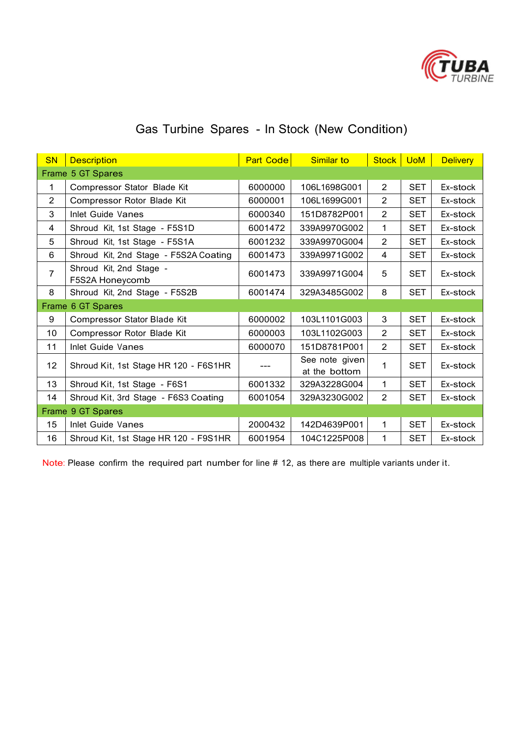

# Gas Turbine Spares - In Stock (New Condition)

| <b>SN</b>         | <b>Description</b>                         | <b>Part Code</b><br>Similar to |                                 |                | Stock UoM  | <b>Delivery</b> |
|-------------------|--------------------------------------------|--------------------------------|---------------------------------|----------------|------------|-----------------|
|                   | Frame 5 GT Spares                          |                                |                                 |                |            |                 |
| 1                 | Compressor Stator Blade Kit                | 6000000                        | 106L1698G001                    | $\overline{2}$ | <b>SET</b> | Ex-stock        |
| $\overline{2}$    | Compressor Rotor Blade Kit                 | 6000001                        | 106L1699G001                    | $\overline{2}$ | <b>SET</b> | Ex-stock        |
| 3                 | Inlet Guide Vanes                          | 6000340                        | 151D8782P001                    | $\overline{2}$ | <b>SET</b> | Ex-stock        |
| 4                 | Shroud Kit, 1st Stage - F5S1D              | 6001472                        | 339A9970G002                    | 1              | <b>SET</b> | Ex-stock        |
| 5                 | Shroud Kit, 1st Stage - F5S1A              | 6001232                        | 339A9970G004                    | 2              | <b>SET</b> | Ex-stock        |
| 6                 | Shroud Kit, 2nd Stage - F5S2A Coating      | 6001473                        | 339A9971G002                    | 4              | <b>SET</b> | Ex-stock        |
| $\overline{7}$    | Shroud Kit, 2nd Stage -<br>F5S2A Honeycomb | 6001473                        | 339A9971G004                    | 5              | <b>SET</b> | Ex-stock        |
| 8                 | Shroud Kit, 2nd Stage - F5S2B              | 6001474                        | 329A3485G002                    | 8              | <b>SET</b> | Ex-stock        |
|                   | Frame 6 GT Spares                          |                                |                                 |                |            |                 |
| 9                 | Compressor Stator Blade Kit                | 6000002                        | 103L1101G003                    | 3              | <b>SET</b> | Ex-stock        |
| 10                | Compressor Rotor Blade Kit                 | 6000003                        | 103L1102G003                    | $\overline{2}$ | <b>SET</b> | Ex-stock        |
| 11                | Inlet Guide Vanes                          | 6000070                        | 151D8781P001                    |                | <b>SET</b> | Ex-stock        |
| 12                | Shroud Kit, 1st Stage HR 120 - F6S1HR      |                                | See note given<br>at the bottom | 1              | <b>SET</b> | Ex-stock        |
| 13                | Shroud Kit, 1st Stage - F6S1               | 6001332                        | 329A3228G004                    | 1              | <b>SET</b> | Ex-stock        |
| 14                | Shroud Kit, 3rd Stage - F6S3 Coating       | 6001054                        | 329A3230G002                    | $\overline{2}$ | <b>SET</b> | Ex-stock        |
| Frame 9 GT Spares |                                            |                                |                                 |                |            |                 |
| 15                | <b>Inlet Guide Vanes</b>                   | 2000432                        | 142D4639P001                    | 1              | <b>SET</b> | Ex-stock        |
| 16                | Shroud Kit, 1st Stage HR 120 - F9S1HR      | 6001954                        | 104C1225P008                    | 1              | <b>SET</b> | Ex-stock        |

Note: Please confirm the required part number for line # 12, as there are multiple variants under it.